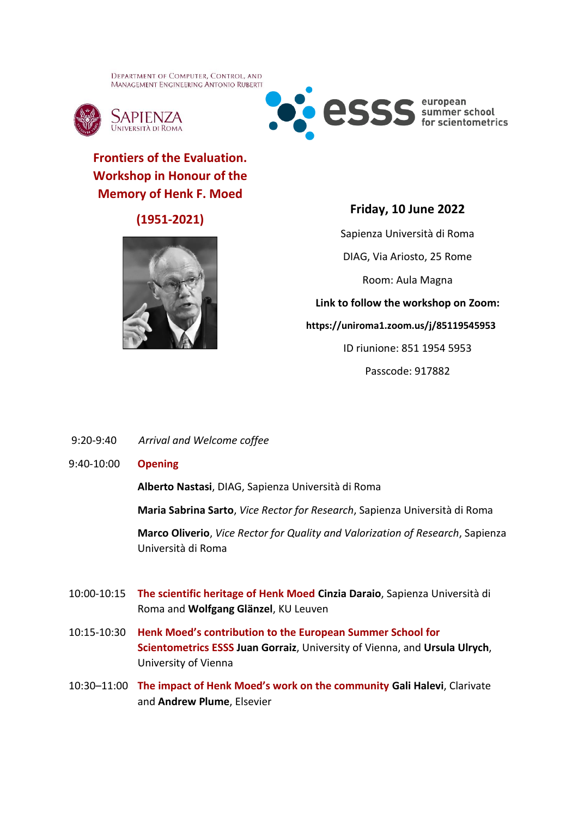DEPARTMENT OF COMPUTER, CONTROL, AND **MANAGEMENT ENGINEERING ANTONIO RUBERTI** 





# **Frontiers of the Evaluation. Workshop in Honour of the Memory of Henk F. Moed**

## **(1951-2021)**



## **Friday, 10 June 2022**

Sapienza Università di Roma

DIAG, Via Ariosto, 25 Rome

Room: Aula Magna

**Link to follow the workshop on Zoom:**

**https://uniroma1.zoom.us/j/85119545953**

ID riunione: 851 1954 5953

Passcode: 917882

- 9:20-9:40 *Arrival and Welcome coffee*
- 9:40-10:00 **Opening**

**Alberto Nastasi**, DIAG, Sapienza Università di Roma

**Maria Sabrina Sarto**, *Vice Rector for Research*, Sapienza Università di Roma

**Marco Oliverio**, *Vice Rector for Quality and Valorization of Research*, Sapienza Università di Roma

- 10:00-10:15 **The scientific heritage of Henk Moed Cinzia Daraio**, Sapienza Università di Roma and **Wolfgang Glänzel**, KU Leuven
- 10:15-10:30 **Henk Moed's contribution to the European Summer School for Scientometrics ESSS Juan Gorraiz**, University of Vienna, and **Ursula Ulrych**, University of Vienna
- 10:30–11:00 **The impact of Henk Moed's work on the community Gali Halevi**, Clarivate and **Andrew Plume**, Elsevier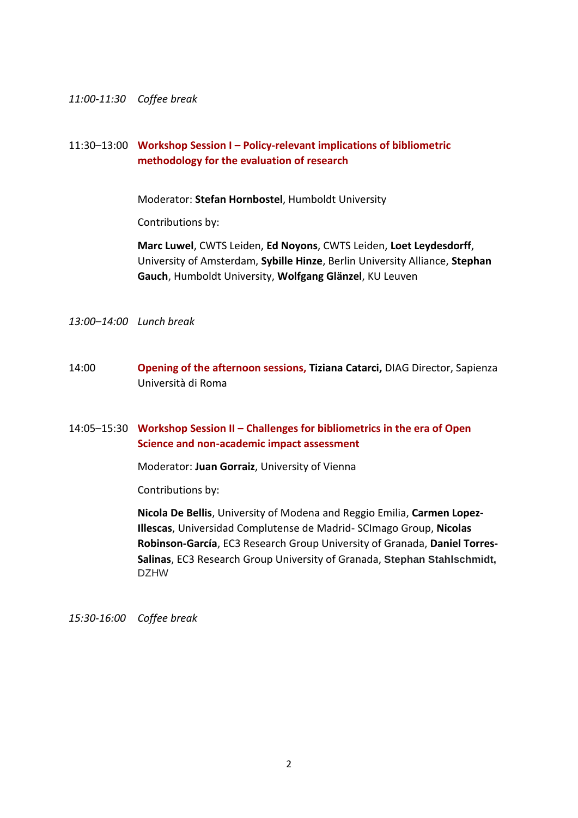#### *11:00-11:30 Coffee break*

### 11:30–13:00 **Workshop Session I – Policy-relevant implications of bibliometric methodology for the evaluation of research**

Moderator: **Stefan Hornbostel**, Humboldt University

Contributions by:

**Marc Luwel**, CWTS Leiden, **Ed Noyons**, CWTS Leiden, **Loet Leydesdorff**, University of Amsterdam, **Sybille Hinze**, Berlin University Alliance, **Stephan Gauch**, Humboldt University, **Wolfgang Glänzel**, KU Leuven

*13:00–14:00 Lunch break*

14:00 **Opening of the afternoon sessions, Tiziana Catarci,** DIAG Director, Sapienza Università di Roma

#### 14:05–15:30 **Workshop Session II – Challenges for bibliometrics in the era of Open Science and non-academic impact assessment**

Moderator: **Juan Gorraiz**, University of Vienna

Contributions by:

**Nicola De Bellis**, University of Modena and Reggio Emilia, **Carmen Lopez-Illescas**, Universidad Complutense de Madrid- SCImago Group, **Nicolas Robinson-García**, EC3 Research Group University of Granada, **Daniel Torres-Salinas**, EC3 Research Group University of Granada, **Stephan Stahlschmidt,** DZHW

*15:30-16:00 Coffee break*